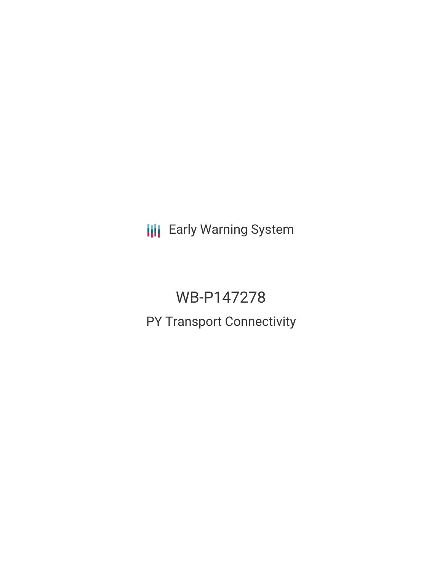**III** Early Warning System

# WB-P147278

## PY Transport Connectivity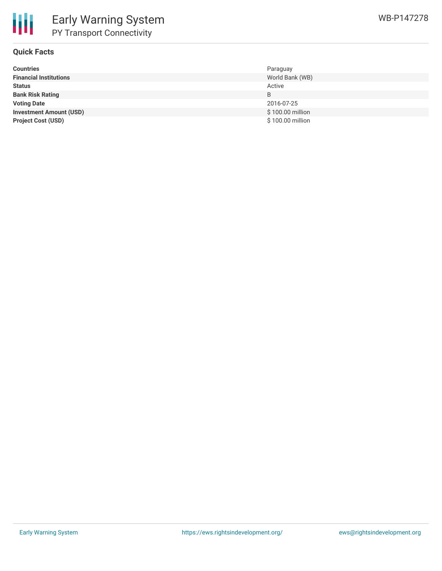

### **Quick Facts**

| <b>Countries</b>               | Paraguay         |
|--------------------------------|------------------|
| <b>Financial Institutions</b>  | World Bank (WB)  |
| <b>Status</b>                  | Active           |
| <b>Bank Risk Rating</b>        | B                |
| <b>Voting Date</b>             | 2016-07-25       |
| <b>Investment Amount (USD)</b> | \$100.00 million |
| <b>Project Cost (USD)</b>      | \$100.00 million |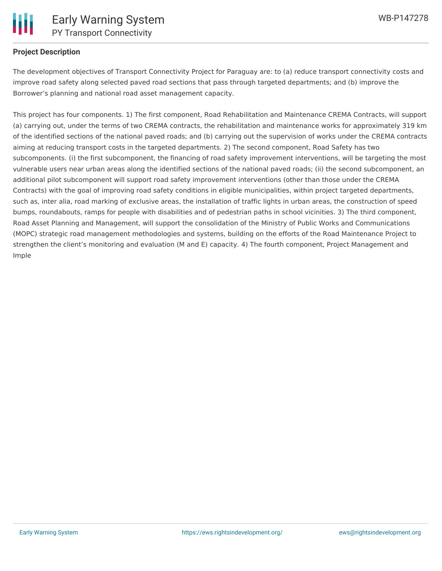

### **Project Description**

The development objectives of Transport Connectivity Project for Paraguay are: to (a) reduce transport connectivity costs and improve road safety along selected paved road sections that pass through targeted departments; and (b) improve the Borrower's planning and national road asset management capacity.

This project has four components. 1) The first component, Road Rehabilitation and Maintenance CREMA Contracts, will support (a) carrying out, under the terms of two CREMA contracts, the rehabilitation and maintenance works for approximately 319 km of the identified sections of the national paved roads; and (b) carrying out the supervision of works under the CREMA contracts aiming at reducing transport costs in the targeted departments. 2) The second component, Road Safety has two subcomponents. (i) the first subcomponent, the financing of road safety improvement interventions, will be targeting the most vulnerable users near urban areas along the identified sections of the national paved roads; (ii) the second subcomponent, an additional pilot subcomponent will support road safety improvement interventions (other than those under the CREMA Contracts) with the goal of improving road safety conditions in eligible municipalities, within project targeted departments, such as, inter alia, road marking of exclusive areas, the installation of traffic lights in urban areas, the construction of speed bumps, roundabouts, ramps for people with disabilities and of pedestrian paths in school vicinities. 3) The third component, Road Asset Planning and Management, will support the consolidation of the Ministry of Public Works and Communications (MOPC) strategic road management methodologies and systems, building on the efforts of the Road Maintenance Project to strengthen the client's monitoring and evaluation (M and E) capacity. 4) The fourth component, Project Management and Imple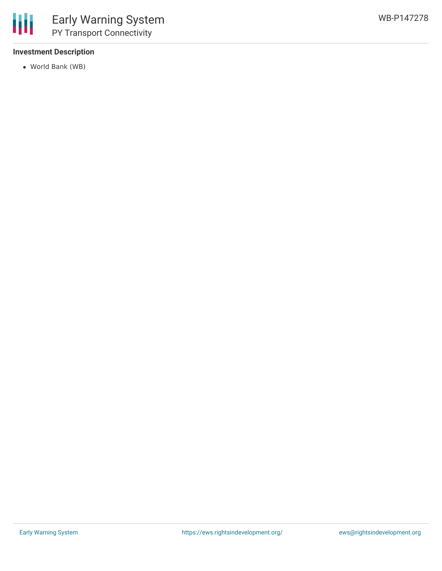

#### **Investment Description**

World Bank (WB)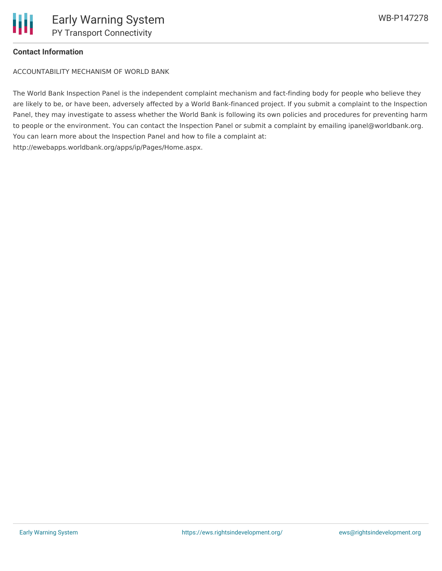### **Contact Information**

ACCOUNTABILITY MECHANISM OF WORLD BANK

The World Bank Inspection Panel is the independent complaint mechanism and fact-finding body for people who believe they are likely to be, or have been, adversely affected by a World Bank-financed project. If you submit a complaint to the Inspection Panel, they may investigate to assess whether the World Bank is following its own policies and procedures for preventing harm to people or the environment. You can contact the Inspection Panel or submit a complaint by emailing ipanel@worldbank.org. You can learn more about the Inspection Panel and how to file a complaint at: http://ewebapps.worldbank.org/apps/ip/Pages/Home.aspx.